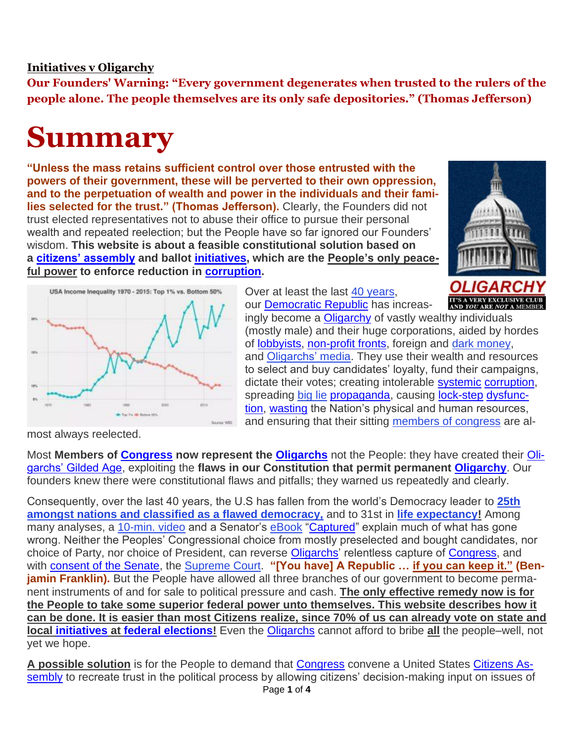## **[Initiatives v Oligarchy](https://cusdi.org/)**

**Our Founders' Warning: "Every government degenerates when trusted to the rulers of the people alone. The people themselves are its only safe depositories." (Thomas Jefferson)**

## **Summary**

**"Unless the mass retains sufficient control over those entrusted with the powers of their government, these will be perverted to their own oppression, and to the perpetuation of wealth and power in the individuals and their families selected for the trust." (Thomas Jefferson).** Clearly, the Founders did not trust elected representatives not to abuse their office to pursue their personal wealth and repeated reelection; but the People have so far ignored our Founders' wisdom. **This website is about a feasible constitutional solution based on a [citizens' assembly](https://cusdi.org/glossary/citizens-assembly/) and ballot [initiatives,](https://cusdi.org/glossary/initiatives/) which are the People's only peaceful power to enforce reduction in [corruption.](https://cusdi.org/glossary/corruption/)**





Over at least the last [40 years,](https://wid.world/country/usa/) our [Democratic Republic](https://cusdi.org/glossary/democratic-republic/) has increas-

ingly become a [Oligarchy](https://cusdi.org/glossary/oligarchy/) of vastly wealthy individuals (mostly male) and their huge corporations, aided by hordes of [lobbyists,](https://cusdi.org/glossary/lobbyists/) [non-profit fronts,](https://cusdi.org/glossary/non-profit-fronts/) foreign and [dark money,](https://en.wikipedia.org/wiki/Dark_money) and [Oligarchs' media.](https://en.wikipedia.org/wiki/Concentration_of_media_ownership) They use their wealth and resources to select and buy candidates' loyalty, fund their campaigns, dictate their votes; creating intolerable [systemic](https://cusdi.org/glossary/systemic/) [corruption,](https://cusdi.org/glossary/corruption/) spreading [big lie](https://en.wikipedia.org/wiki/Big_lie) [propaganda,](https://cusdi.org/glossary/propaganda/) causing [lock-step](https://cusdi.org/glossary/lock-step/) [dysfunc](https://cusdi.org/glossary/dysfunction/)[tion,](https://cusdi.org/glossary/dysfunction/) [wasting](https://cusdi.org/glossary/wasting/) the Nation's physical and human resources, and ensuring that their sitting [members of congress](https://cusdi.org/faq/why-are-sitting-members-of-congress-almost-always-reelected/) are al-

most always reelected.

Most **Members of [Congress](https://cusdi.org/glossary/congress/) now represent the [Oligarchs](https://cusdi.org/glossary/oligarchs-2/)** not the People: they have created their [Oli](https://cusdi.org/glossary/oligarchs-gilded-age/)[garchs' Gilded Age,](https://cusdi.org/glossary/oligarchs-gilded-age/) exploiting the **flaws in our Constitution that permit permanent [Oligarchy](https://cusdi.org/glossary/oligarchy/)**. Our founders knew there were constitutional flaws and pitfalls; they warned us repeatedly and clearly.

Consequently, over the last 40 years, the U.S has fallen from the world's Democracy leader to **[25th](https://en.wikipedia.org/wiki/Democracy_Index)  [amongst nations and classified as a flawed democracy,](https://en.wikipedia.org/wiki/Democracy_Index)** and to 31st in **[life expectancy!](https://en.wikipedia.org/wiki/List_of_countries_by_life_expectancy)** Among many analyses, a [10-min. video](https://www.youtube.com/watch?v=JvJ1ZuJDNbQ) and a Senator's [eBook](https://www.amazon.com/Captured-Corporate-Infiltration-American-Democracy-ebook/dp/B01N0SCVWL/ref=sr_1_1?ie=UTF8&qid=1489281770&sr=8-1&keywords=Captured%3A+The+Corporate+Infiltration+of+American+Democracy+ebook) ["Captured"](https://cusdi.org/glossary/captured/) explain much of what has gone wrong. Neither the Peoples' Congressional choice from mostly preselected and bought candidates, nor choice of Party, nor choice of President, can reverse [Oligarchs'](https://cusdi.org/glossary/oligarchs-2/) relentless capture of [Congress,](https://cusdi.org/glossary/congress/) and with [consent of the Senate,](https://cusdi.org/glossary/consent-of-congress/) the [Supreme Court.](https://en.wikipedia.org/wiki/Supreme_Court_of_the_United_States) **"[You have] A Republic … if you can keep it." (Benjamin Franklin).** But the People have allowed all three branches of our government to become permanent instruments of and for sale to political pressure and cash. **The only effective remedy now is for the People to take some superior federal power unto themselves. This website describes how it can be done. It is easier than most Citizens realize, since 70% of us can already vote on state and local [initiatives](https://cusdi.org/glossary/initiatives/) at [federal elections!](https://cusdi.org/glossary/federal-elections/)** Even the [Oligarchs](https://cusdi.org/glossary/oligarchs-2/) cannot afford to bribe **all** the people–well, not yet we hope.

Page **1** of **4 A possible solution** is for the People to demand that [Congress](https://cusdi.org/glossary/congress/) convene a United States [Citizens As](https://cusdi.org/glossary/citizens-assembly-2/)[sembly](https://cusdi.org/glossary/citizens-assembly-2/) to recreate trust in the political process by allowing citizens' decision-making input on issues of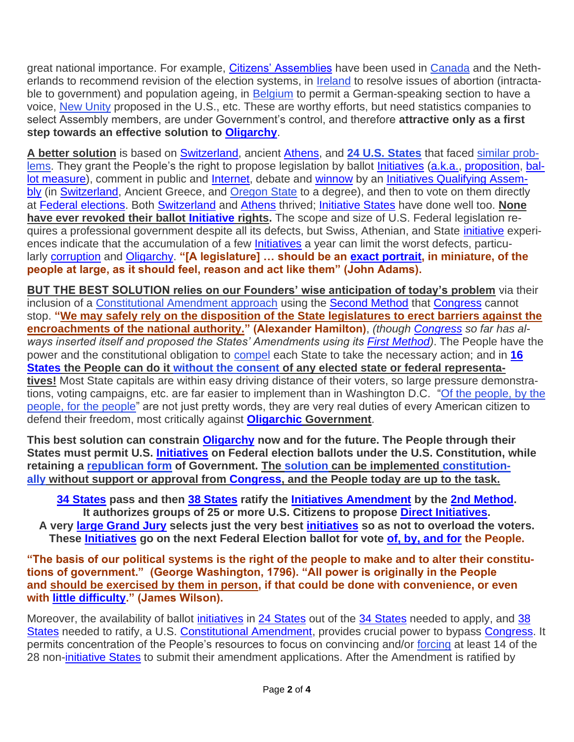great national importance. For example, [Citizens' Assemblies](https://cusdi.org/glossary/citizens-assemblies/) have been used in [Canada](http://www.citizensassembly.gov.on.ca/en-CA/docs/Weekend%20Five/The%20Cases%20of%20B.C.%20and%20The%20Netherlands.pdf) and the Netherlands to recommend revision of the election systems, in **[Ireland](https://en.wikipedia.org/wiki/Citizens%27_Assembly_(Ireland))** to resolve issues of abortion (intractable to government) and population ageing, in **[Belgium](https://www.economist.com/europe/2019/10/03/a-belgian-experiment-that-aristotle-would-have-approved-of)** to permit a German-speaking section to have a voice, [New Unity](https://newunity.org/) proposed in the U.S., etc. These are worthy efforts, but need statistics companies to select Assembly members, are under Government's control, and therefore **attractive only as a first step towards an effective solution to [Oligarchy](https://cusdi.org/glossary/oligarchy/)**.

**A better solution** is based on [Switzerland,](https://cusdi.org/glossary/switzerland/) ancient [Athens,](https://cusdi.org/glossary/athens/) and **[24 U.S. States](https://cusdi.org/faq/which-states-have-initiatives/)** that faced [similar prob](https://cusdi.org/glossary/oligarchs-gilded-age/)[lems.](https://cusdi.org/glossary/oligarchs-gilded-age/) They grant the People's the right to propose legislation by ballot [Initiatives](https://cusdi.org/glossary/initiatives/) [\(a.k.a.,](https://cusdi.org/glossary/a-k-a/) [proposition,](https://cusdi.org/glossary/proposition/) [bal](https://cusdi.org/glossary/ballot-measure/)[lot measure\)](https://cusdi.org/glossary/ballot-measure/), comment in public and [Internet,](https://cusdi.org/glossary/internet/) debate and [winnow](https://cusdi.org/glossary/winnow/) by an [Initiatives Qualifying Assem](https://cusdi.org/glossary/initiatives-qualifying-assembly/)[bly](https://cusdi.org/glossary/initiatives-qualifying-assembly/) (in [Switzerland,](https://cusdi.org/glossary/switzerland/) Ancient Greece, and [Oregon State](https://sos.oregon.gov/elections/Documents/stateIR.pdf) to a degree), and then to vote on them directly at [Federal elections.](https://cusdi.org/glossary/federal-elections/) Both [Switzerland](https://cusdi.org/glossary/switzerland/) and [Athens](https://cusdi.org/glossary/athens/) thrived; [Initiative States](https://cusdi.org/glossary/initiative-states/) have done well too. **None have ever revoked their ballot [Initiative](https://cusdi.org/glossary/initiative/) rights.** The scope and size of U.S. Federal legislation requires a professional government despite all its defects, but Swiss, Athenian, and State *[initiative](https://cusdi.org/glossary/initiative/)* experi-ences indicate that the accumulation of a few [Initiatives](https://cusdi.org/glossary/initiatives/) a year can limit the worst defects, particularly [corruption](https://cusdi.org/glossary/corruption/) and [Oligarchy.](https://cusdi.org/glossary/oligarchy/) **"[A legislature] … should be an [exact portrait,](https://cusdi.org/glossary/exact-portrait-people/) in miniature, of the people at large, as it should feel, reason and act like them" (John Adams).**

**BUT THE BEST SOLUTION relies on our Founders' wise anticipation of today's problem** via their inclusion of a [Constitutional Amendment approach](https://cusdi.org/wp-content/uploads/2018/06/crs2014neale.pdf) using the [Second Method](https://cusdi.org/glossary/second-method/) that [Congress](https://cusdi.org/glossary/congress/) cannot stop. **"We may safely rely on the disposition of the State legislatures to erect barriers against the encroachments of the national authority." (Alexander Hamilton)**, *(though [Congress](https://cusdi.org/glossary/congress/) so far has always inserted itself and proposed the States' Amendments using its [First Method\)](https://cusdi.org/glossary/first-method/)*. The People have the power and the constitutional obligation to [compel](https://cusdi.org/glossary/initiatives-amendment-pledge/) each State to take the necessary action; and in **[16](https://cusdi.org/glossary/16-states/)  [States](https://cusdi.org/glossary/16-states/) the People can do it [without the consent](https://cusdi.org/campaign-initiatives-limited-article-v-convention/state-initiative/) of any elected state or federal representatives!** Most State capitals are within easy driving distance of their voters, so large pressure demonstrations, voting campaigns, etc. are far easier to implement than in Washington D.C. ["Of the people, by the](https://en.wikipedia.org/wiki/Gettysburg_Address)  [people, for the people"](https://en.wikipedia.org/wiki/Gettysburg_Address) are not just pretty words, they are very real duties of every American citizen to defend their freedom, most critically against **[Oligarchic](https://cusdi.org/glossary/oligarchic/) Government**.

**This best solution can constrain [Oligarchy](https://cusdi.org/glossary/oligarchy/) now and for the future. The People through their States must permit U.S. [Initiatives](https://cusdi.org/glossary/initiatives/) on Federal election ballots under the U.S. Constitution, while retaining a [republican form](https://cusdi.org/faq/doesnt-guarantee-clause-forbid-initiatives/) of Government. The [solution](https://cusdi.org/direct-democracy-gamechanger-solution-initiatives/initiatives-amendment/) can be implemented [constitution](https://www.archives.gov/federal-register/constitution/article-v.html)[ally](https://www.archives.gov/federal-register/constitution/article-v.html) without support or approval from [Congress,](https://cusdi.org/glossary/congress/) and the People today are up to the task.**

**[34 States](https://cusdi.org/glossary/6874/) pass and then [38 States](https://cusdi.org/glossary/38-states/) ratify the [Initiatives Amendment](https://cusdi.org/glossary/initiatives-amendment/) by the [2nd Method.](https://cusdi.org/glossary/2nd-method/) It authorizes groups of 25 or more U.S. Citizens to propose [Direct Initiatives.](https://cusdi.org/glossary/direct-initiatives/) A very [large Grand Jury](https://cusdi.org/glossary/large-grand-jury/) selects just the very best [initiatives](https://cusdi.org/glossary/initiatives/) so as not to overload the voters. These [Initiatives](https://cusdi.org/glossary/initiatives/) go on the next Federal Election ballot for vote [of, by, and for](https://cusdi.org/glossary/of-by-and-for/) the People.**

**"The basis of our political systems is the right of the people to make and to alter their constitutions of government." (George Washington, 1796). "All power is originally in the People and should be exercised by them in person, if that could be done with convenience, or even with [little difficulty.](https://cusdi.org/glossary/little-difficulty/)" (James Wilson).**

Moreover, the availability of ballot *[initiatives](https://cusdi.org/glossary/initiatives/)* in [24 States](https://cusdi.org/glossary/24-states/) out of the [34 States](https://cusdi.org/glossary/6874/) needed to apply, and 38 [States](https://cusdi.org/glossary/38-states/) needed to ratify, a U.S. [Constitutional Amendment,](https://cusdi.org/glossary/constitutional-amendment/) provides crucial power to bypass [Congress.](https://cusdi.org/glossary/congress/) It permits concentration of the People's resources to focus on convincing and/or [forcing](https://cusdi.org/glossary/initiatives-amendment-pledge/) at least 14 of the 28 non[-initiative States](https://cusdi.org/glossary/initiative-states/) to submit their amendment applications. After the Amendment is ratified by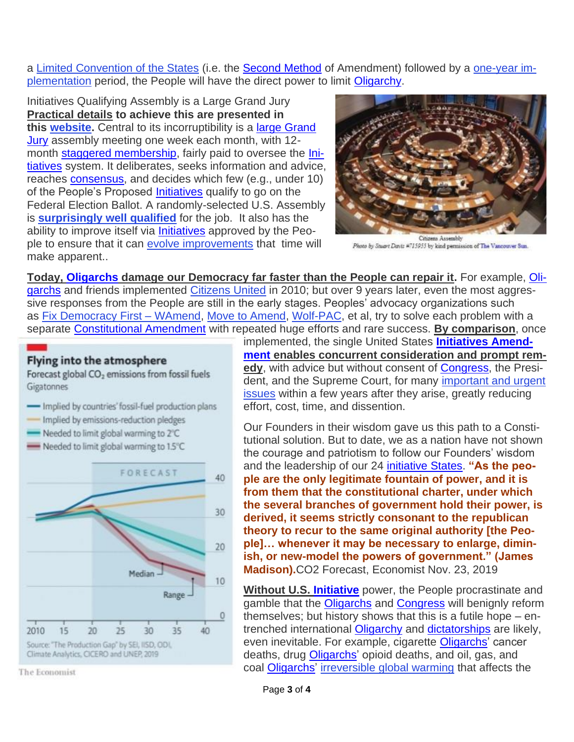a [Limited Convention of the States](https://en.wikipedia.org/wiki/Convention_to_propose_amendments_to_the_United_States_Constitution) (i.e. the [Second Method](https://cusdi.org/glossary/second-method/) of Amendment) followed by a [one-year im](https://cusdi.org/direct-democracy-gamechanger-solution-initiatives/constitution-orders/)[plementation](https://cusdi.org/direct-democracy-gamechanger-solution-initiatives/constitution-orders/) period, the People will have the direct power to limit [Oligarchy.](https://cusdi.org/glossary/oligarchy/)

Initiatives Qualifying Assembly is a Large Grand Jury **Practical details to achieve this are presented in this [website.](https://cusdi.org/)** Central to its incorruptibility is a [large Grand](https://cusdi.org/glossary/large-grand-jury/)  [Jury](https://cusdi.org/glossary/large-grand-jury/) assembly meeting one week each month, with 12 month [staggered membership,](https://cusdi.org/glossary/staggered-membership/) fairly paid to oversee the [Ini](https://cusdi.org/glossary/initiatives/)[tiatives](https://cusdi.org/glossary/initiatives/) system. It deliberates, seeks information and advice, reaches [consensus,](https://cusdi.org/glossary/consensus/) and decides which few (e.g., under 10) of the People's Proposed [Initiatives](https://cusdi.org/glossary/initiatives/) qualify to go on the Federal Election Ballot. A randomly-selected U.S. Assembly is **[surprisingly well qualified](https://cusdi.org/faq/iqa-ensure-wisdom/#more-1031)** for the job. It also has the ability to improve itself via *[Initiatives](https://cusdi.org/glossary/initiatives/)* approved by the People to ensure that it can [evolve improvements](https://cusdi.org/direct-democracy-gamechanger-solution-initiatives/initiatives-amendment/) that time will make apparent..



Photo by Stuart Davis #715955 by kind permission of The Vancouver Sun.

**Today, [Oligarchs](https://cusdi.org/glossary/oligarchs-2/) damage our Democracy far faster than the People can repair it.** For example, [Oli](https://cusdi.org/glossary/oligarchs-2/)[garchs](https://cusdi.org/glossary/oligarchs-2/) and friends implemented [Citizens United](https://en.wikipedia.org/wiki/Citizens_United_v._FEC) in 2010; but over 9 years later, even the most aggressive responses from the People are still in the early stages. Peoples' advocacy organizations such as [Fix Democracy First –](http://fixdemocracyfirst.org/) WAmend, [Move to Amend,](https://movetoamend.org/) [Wolf-PAC,](https://wolf-pac.com/) et al, try to solve each problem with a separate [Constitutional Amendment](https://cusdi.org/glossary/constitutional-amendment/) with repeated huge efforts and rare success. **By comparison**, once

## **Flying into the atmosphere**

Forecast global CO<sub>2</sub> emissions from fossil fuels Gigatonnes

- Implied by countries' fossil-fuel production plans
- Implied by emissions-reduction pledges
- Needed to limit global warming to 2°C
- Needed to limit global warming to 1.5°C



The Economist

implemented, the single United States **[Initiatives Amend](https://cusdi.org/glossary/initiatives-amendment/)[ment](https://cusdi.org/glossary/initiatives-amendment/) enables concurrent consideration and prompt remedy**, with advice but without consent of [Congress,](https://cusdi.org/glossary/congress/) the President, and the Supreme Court, for many [important and urgent](https://cusdi.org/benefits/)  [issues](https://cusdi.org/benefits/) within a few years after they arise, greatly reducing effort, cost, time, and dissention.

Our Founders in their wisdom gave us this path to a Constitutional solution. But to date, we as a nation have not shown the courage and patriotism to follow our Founders' wisdom and the leadership of our 24 [initiative States.](https://cusdi.org/glossary/initiative-states/) **"As the people are the only legitimate fountain of power, and it is from them that the constitutional charter, under which the several branches of government hold their power, is derived, it seems strictly consonant to the republican theory to recur to the same original authority [the People]… whenever it may be necessary to enlarge, diminish, or new-model the powers of government." (James Madison).**CO2 Forecast, Economist Nov. 23, 2019

**Without U.S. [Initiative](https://cusdi.org/glossary/initiative/)** power, the People procrastinate and gamble that the [Oligarchs](https://cusdi.org/glossary/oligarchs-2/) and [Congress](https://cusdi.org/glossary/congress/) will benignly reform themselves; but history shows that this is a futile hope – entrenched international [Oligarchy](https://cusdi.org/glossary/oligarchy/) and [dictatorships](https://cusdi.org/glossary/dictatorships/) are likely, even inevitable. For example, cigarette [Oligarchs'](https://cusdi.org/glossary/oligarchs-2/) cancer deaths, drug [Oligarchs'](https://cusdi.org/glossary/oligarchs-2/) opioid deaths, and oil, gas, and coal [Oligarchs'](https://cusdi.org/glossary/oligarchs-2/) [irreversible global warming](https://cusdi.org/benefit/climate-change-carbon-dioxide-sea-level) that affects the